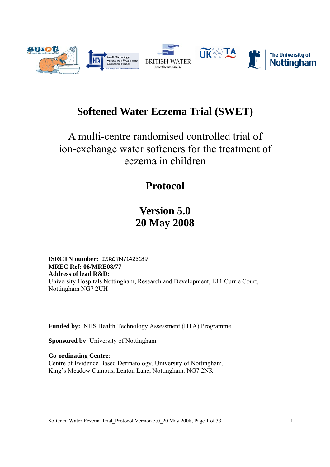

# **Softened Water Eczema Trial (SWET)**

# A multi-centre randomised controlled trial of ion-exchange water softeners for the treatment of eczema in children

# **Protocol**

# **Version 5.0 20 May 2008**

**ISRCTN number:** ISRCTN71423189 **MREC Ref: 06/MRE08/77 Address of lead R&D:**  University Hospitals Nottingham, Research and Development, E11 Currie Court, Nottingham NG7 2UH

**Funded by:** NHS Health Technology Assessment (HTA) Programme

**Sponsored by**: University of Nottingham

**Co-ordinating Centre**: Centre of Evidence Based Dermatology, University of Nottingham, King's Meadow Campus, Lenton Lane, Nottingham. NG7 2NR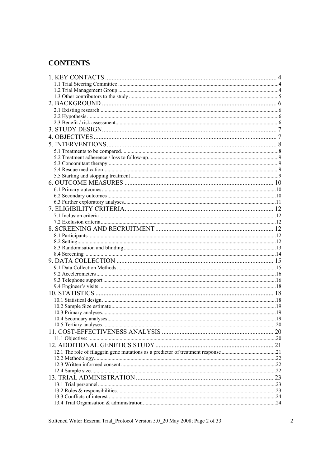### **CONTENTS**

| 23 |
|----|
|    |
|    |
|    |
|    |

Softened Water Eczema Trial\_Protocol Version 5.0\_20 May 2008; Page 2 of 33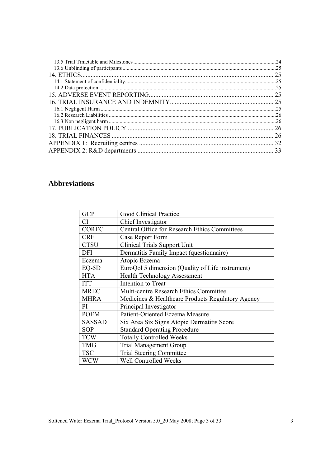| .24 |
|-----|
|     |
| 25  |
|     |
|     |
| 25  |
| 25  |
|     |
|     |
|     |
| 26  |
|     |
| 32  |
| 33  |

### **Abbreviations**

| <b>GCP</b>    | <b>Good Clinical Practice</b>                        |
|---------------|------------------------------------------------------|
| <b>CI</b>     | Chief Investigator                                   |
| <b>COREC</b>  | <b>Central Office for Research Ethics Committees</b> |
| <b>CRF</b>    | Case Report Form                                     |
| <b>CTSU</b>   | <b>Clinical Trials Support Unit</b>                  |
| <b>DFI</b>    | Dermatitis Family Impact (questionnaire)             |
| Eczema        | Atopic Eczema                                        |
| $EQ-5D$       | EuroQol 5 dimension (Quality of Life instrument)     |
| <b>HTA</b>    | <b>Health Technology Assessment</b>                  |
| <b>ITT</b>    | Intention to Treat                                   |
| <b>MREC</b>   | Multi-centre Research Ethics Committee               |
| <b>MHRA</b>   | Medicines & Healthcare Products Regulatory Agency    |
| PI            | Principal Investigator                               |
| <b>POEM</b>   | Patient-Oriented Eczema Measure                      |
| <b>SASSAD</b> | Six Area Six Signs Atopic Dermatitis Score           |
| <b>SOP</b>    | <b>Standard Operating Procedure</b>                  |
| <b>TCW</b>    | <b>Totally Controlled Weeks</b>                      |
| <b>TMG</b>    | <b>Trial Management Group</b>                        |
| <b>TSC</b>    | <b>Trial Steering Committee</b>                      |
| <b>WCW</b>    | Well Controlled Weeks                                |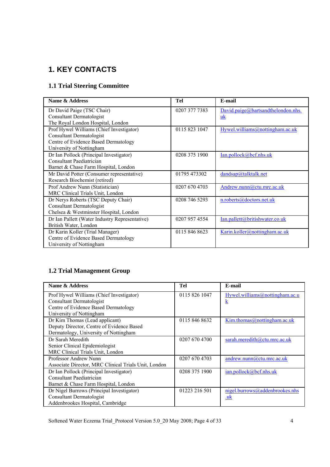### **1. KEY CONTACTS**

### **1.1 Trial Steering Committee**

| Name & Address                                 | <b>Tel</b>    | E-mail                             |
|------------------------------------------------|---------------|------------------------------------|
| Dr David Paige (TSC Chair)                     | 0207 377 7383 | David.paige@bartsandthelondon.nhs. |
| <b>Consultant Dermatologist</b>                |               | uk                                 |
| The Royal London Hospital, London              |               |                                    |
| Prof Hywel Williams (Chief Investigator)       | 0115 823 1047 | Hywel.williams@nottingham.ac.uk    |
| <b>Consultant Dermatologist</b>                |               |                                    |
| Centre of Evidence Based Dermatology           |               |                                    |
| University of Nottingham                       |               |                                    |
| Dr Ian Pollock (Principal Investigator)        | 0208 375 1900 | Ian.pollock@bcf.nhs.uk             |
| <b>Consultant Paediatrician</b>                |               |                                    |
| Barnet & Chase Farm Hospital, London           |               |                                    |
| Mr David Potter (Consumer representative)      | 01795 473302  | dandsap@talktalk.net               |
| Research Biochemist (retired)                  |               |                                    |
| Prof Andrew Nunn (Statistician)                | 0207 670 4703 | Andrew.nunn@ctu.mrc.ac.uk          |
| MRC Clinical Trials Unit, London               |               |                                    |
| Dr Nerys Roberts (TSC Deputy Chair)            | 0208 746 5293 | n.roberts@doctors.net.uk           |
| <b>Consultant Dermatologist</b>                |               |                                    |
| Chelsea & Westminster Hospital, London         |               |                                    |
| Dr Ian Pallett (Water Industry Representative) | 0207 957 4554 | Ian.pallett@britishwater.co.uk     |
| British Water, London                          |               |                                    |
| Dr Karin Koller (Trial Manager)                | 0115 846 8623 | Karin.koller@nottingham.ac.uk      |
| Centre of Evidence Based Dermatology           |               |                                    |
| University of Nottingham                       |               |                                    |

### **1.2 Trial Management Group**

| Name & Address                                       | Tel           | E-mail                         |
|------------------------------------------------------|---------------|--------------------------------|
| Prof Hywel Williams (Chief Investigator)             | 0115 826 1047 | Hywel.williams@nottingham.ac.u |
| <b>Consultant Dermatologist</b>                      |               | <u>k</u>                       |
| Centre of Evidence Based Dermatology                 |               |                                |
| University of Nottingham                             |               |                                |
| Dr Kim Thomas (Lead applicant)                       | 0115 846 8632 | Kim.thomas@nottingham.ac.uk    |
| Deputy Director, Centre of Evidence Based            |               |                                |
| Dermatology, University of Nottingham                |               |                                |
| Dr Sarah Meredith                                    | 0207 670 4700 | sarah.meredith@ctu.mrc.ac.uk   |
| Senior Clinical Epidemiologist                       |               |                                |
| MRC Clinical Trials Unit, London                     |               |                                |
| Professor Andrew Nunn                                | 0207 670 4703 | andrew.nunn@ctu.mrc.ac.uk      |
| Associate Director, MRC Clinical Trials Unit, London |               |                                |
| Dr Ian Pollock (Principal Investigator)              | 0208 375 1900 | ian.pollock@bcf.nhs.uk         |
| Consultant Paediatrician                             |               |                                |
| Barnet & Chase Farm Hospital, London                 |               |                                |
| Dr Nigel Burrows (Principal Investigator)            | 01223 216 501 | nigel.burrows@addenbrookes.nhs |
| <b>Consultant Dermatologist</b>                      |               | .uk                            |
| Addenbrookes Hospital, Cambridge                     |               |                                |

Softened Water Eczema Trial\_Protocol Version 5.0\_20 May 2008; Page 4 of 33 4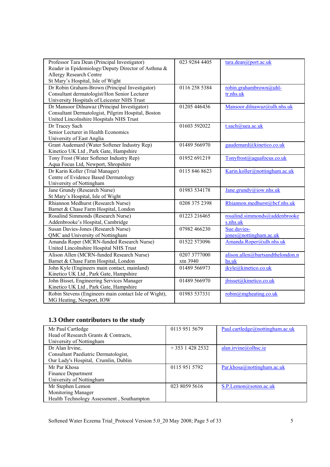| Professor Tara Dean (Principal Investigator)<br>Reader in Epidemiology/Deputy Director of Asthma & | 023 9284 4405 | tara.dean@port.ac.uk                  |
|----------------------------------------------------------------------------------------------------|---------------|---------------------------------------|
| Allergy Research Centre<br>St Mary's Hospital, Isle of Wight                                       |               |                                       |
| Dr Robin Graham-Brown (Principal Investigator)                                                     | 0116 258 5384 | robin.grahambrown@uhl-                |
| Consultant dermatologist/Hon Senior Lecturer<br>University Hospitals of Leicester NHS Trust        |               | tr.nhs.uk                             |
| Dr Mansoor Dilnawaz (Principal Investigator)                                                       | 01205 446436  | Mansoor.dilnawaz@ulh.nhs.uk           |
| Consultant Dermatologist, Pilgrim Hospital, Boston                                                 |               |                                       |
| United Lincolnshire Hospitals NHS Trust                                                            |               |                                       |
| Dr Tracey Sach                                                                                     | 01603 592022  | t.sach@uea.ac.uk                      |
| Senior Lecturer in Health Economics                                                                |               |                                       |
| University of East Anglia                                                                          |               |                                       |
| Grant Audemard (Water Softener Industry Rep)                                                       | 01489 566970  | gaudemard@kinetico.co.uk              |
| Kinetico UK Ltd, Park Gate, Hampshire<br>Tony Frost (Water Softener Industry Rep)                  | 01952 691219  | Tonyfrost(a)aquafocus.co.uk           |
| Aqua Focus Ltd, Newport, Shropshire                                                                |               |                                       |
| Dr Karin Koller (Trial Manager)                                                                    | 0115 846 8623 | Karin.koller@nottingham.ac.uk         |
| Centre of Evidence Based Dermatology                                                               |               |                                       |
| University of Nottingham                                                                           |               |                                       |
| Jane Grundy (Research Nurse)                                                                       | 01983 534178  | Jane.grundy@iow.nhs.uk                |
| St Mary's Hospital, Isle of Wight                                                                  |               |                                       |
| Rhiannon Medhurst (Research Nurse)                                                                 | 0208 375 2398 | Rhiannon.medhurst@bcf.nhs.uk          |
| Barnet & Chase Farm Hospital, London                                                               |               |                                       |
| Rosalind Simmonds (Research Nurse)                                                                 | 01223 216465  | rosalind.simmonds@addenbrooke         |
| Addenbrooke's Hospital, Cambridge                                                                  |               | s.nhs.uk                              |
| Susan Davies-Jones (Research Nurse)<br>QMC and University of Nottingham                            | 07982 466230  | Sue.davies-<br>jones@nottingham.ac.uk |
| Amanda Roper (MCRN-funded Research Nurse)                                                          | 01522 573096  | Amanda.Roper@ulh.nhs.uk               |
| United Lincolnshire Hospital NHS Trust                                                             |               |                                       |
| Alison Allen (MCRN-funded Research Nurse)                                                          | 0207 3777000  | alison.allen@bartsandthelondon.n      |
| Barnet & Chase Farm Hospital, London                                                               | xtn 3940      | hs.uk                                 |
| John Kyle (Engineers main contact, mainland)                                                       | 01489 566973  | jkyle@kinetico.co.uk                  |
| Kinetico UK Ltd, Park Gate, Hampshire                                                              |               |                                       |
| John Bisset, Engineering Services Manager                                                          | 01489 566970  | jbisset@kinetico.co.uk                |
| Kinetico UK Ltd, Park Gate, Hampshire                                                              |               |                                       |
| Robin Stevens (Engineers main contact Isle of Wight),                                              | 01983 537331  | robin@mgheating.co.uk                 |
| MG Heating, Newport, IOW                                                                           |               |                                       |

## **1.3 Other contributors to the study**

| Mr Paul Cartledge                         | 0115 951 5679  | Paul.cartledge@nottingham.ac.uk |
|-------------------------------------------|----------------|---------------------------------|
| Head of Research Grants & Contracts,      |                |                                 |
| University of Nottingham                  |                |                                 |
| Dr Alan Irvine,                           | $+35314282532$ | alan.irvine@olhsc.ie            |
| Consultant Paediatric Dermatologist,      |                |                                 |
| Our Lady's Hospital, Crumlin, Dublin      |                |                                 |
| Mr Par Khosa                              | 0115 951 5792  | Par.khosa@nottingham.ac.uk      |
| Finance Department                        |                |                                 |
| University of Nottingham                  |                |                                 |
| Mr Stephen Lemon                          | 023 8059 5616  | S.P.Lemon@soton.ac.uk           |
| Monitoring Manager                        |                |                                 |
| Health Technology Assessment, Southampton |                |                                 |

Softened Water Eczema Trial\_Protocol Version 5.0\_20 May 2008; Page 5 of 33 5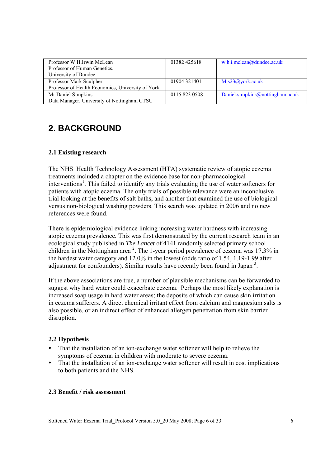| Professor W.H.Irwin McLean                        | 01382 425618  | w.h.i.mclean@dundee.ac.uk        |
|---------------------------------------------------|---------------|----------------------------------|
| Professor of Human Genetics,                      |               |                                  |
| University of Dundee                              |               |                                  |
| Professor Mark Sculpher                           | 01904 321401  | $M$ js23@york.ac.uk              |
| Professor of Health Economics, University of York |               |                                  |
| Mr Daniel Simpkins                                | 0115 823 0508 | Daniel.simpkins@nottingham.ac.uk |
| Data Manager, University of Nottingham CTSU       |               |                                  |

## **2. BACKGROUND**

### **2.1 Existing research**

The NHS Health Technology Assessment (HTA) systematic review of atopic eczema treatments included a chapter on the evidence base for non-pharmacological interventions<sup>1</sup>. This failed to identify any trials evaluating the use of water softeners for patients with atopic eczema. The only trials of possible relevance were an inconclusive trial looking at the benefits of salt baths, and another that examined the use of biological versus non-biological washing powders. This search was updated in 2006 and no new references were found.

There is epidemiological evidence linking increasing water hardness with increasing atopic eczema prevalence. This was first demonstrated by the current research team in an ecological study published in *The Lancet* of 4141 randomly selected primary school children in the Nottingham area<sup>2</sup>. The 1-year period prevalence of eczema was 17.3% in the hardest water category and 12.0% in the lowest (odds ratio of 1.54, 1.19-1.99 after adjustment for confounders). Similar results have recently been found in Japan<sup>3</sup>.

If the above associations are true, a number of plausible mechanisms can be forwarded to suggest why hard water could exacerbate eczema. Perhaps the most likely explanation is increased soap usage in hard water areas; the deposits of which can cause skin irritation in eczema sufferers. A direct chemical irritant effect from calcium and magnesium salts is also possible, or an indirect effect of enhanced allergen penetration from skin barrier disruption.

### **2.2 Hypothesis**

- That the installation of an ion-exchange water softener will help to relieve the symptoms of eczema in children with moderate to severe eczema.
- That the installation of an ion-exchange water softener will result in cost implications to both patients and the NHS.

### **2.3 Benefit / risk assessment**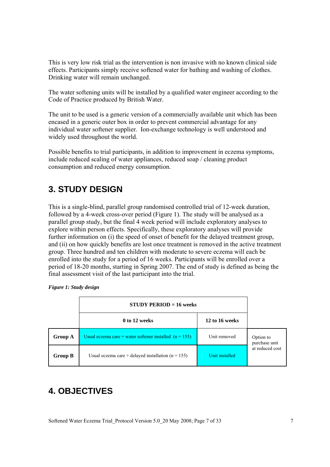This is very low risk trial as the intervention is non invasive with no known clinical side effects. Participants simply receive softened water for bathing and washing of clothes. Drinking water will remain unchanged.

The water softening units will be installed by a qualified water engineer according to the Code of Practice produced by British Water.

The unit to be used is a generic version of a commercially available unit which has been encased in a generic outer box in order to prevent commercial advantage for any individual water softener supplier. Ion-exchange technology is well understood and widely used throughout the world.

Possible benefits to trial participants, in addition to improvement in eczema symptoms, include reduced scaling of water appliances, reduced soap / cleaning product consumption and reduced energy consumption.

### **3. STUDY DESIGN**

This is a single-blind, parallel group randomised controlled trial of 12-week duration, followed by a 4-week cross-over period (Figure 1). The study will be analysed as a parallel group study, but the final 4 week period will include exploratory analyses to explore within person effects. Specifically, these exploratory analyses will provide further information on (i) the speed of onset of benefit for the delayed treatment group, and (ii) on how quickly benefits are lost once treatment is removed in the active treatment group. Three hundred and ten children with moderate to severe eczema will each be enrolled into the study for a period of 16 weeks. Participants will be enrolled over a period of 18-20 months, starting in Spring 2007. The end of study is defined as being the final assessment visit of the last participant into the trial.

|         | $STUDY PERIOD = 16 weeks$                                |                |                            |
|---------|----------------------------------------------------------|----------------|----------------------------|
|         | 0 to 12 weeks                                            | 12 to 16 weeks |                            |
| Group A | Usual eczema care + water softener installed $(n = 155)$ | Unit removed   | Option to<br>purchase unit |
| Group B | Usual eczema care + delayed installation $(n = 155)$     | Unit installed | at reduced cost            |

*Figure 1: Study design* 

## **4. OBJECTIVES**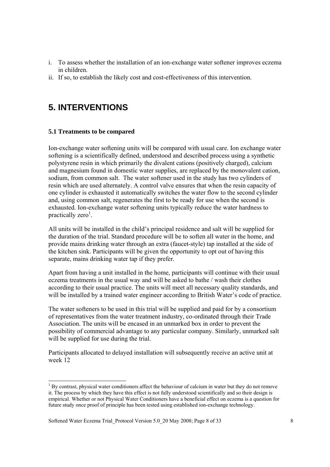- i. To assess whether the installation of an ion-exchange water softener improves eczema in children.
- ii. If so, to establish the likely cost and cost-effectiveness of this intervention.

### **5. INTERVENTIONS**

#### **5.1 Treatments to be compared**

l

Ion-exchange water softening units will be compared with usual care. Ion exchange water softening is a scientifically defined, understood and described process using a synthetic polystyrene resin in which primarily the divalent cations (positively charged), calcium and magnesium found in domestic water supplies, are replaced by the monovalent cation, sodium, from common salt. The water softener used in the study has two cylinders of resin which are used alternately. A control valve ensures that when the resin capacity of one cylinder is exhausted it automatically switches the water flow to the second cylinder and, using common salt, regenerates the first to be ready for use when the second is exhausted. Ion-exchange water softening units typically reduce the water hardness to practically zero<sup>1</sup>.

All units will be installed in the child's principal residence and salt will be supplied for the duration of the trial. Standard procedure will be to soften all water in the home, and provide mains drinking water through an extra (faucet-style) tap installed at the side of the kitchen sink. Participants will be given the opportunity to opt out of having this separate, mains drinking water tap if they prefer.

Apart from having a unit installed in the home, participants will continue with their usual eczema treatments in the usual way and will be asked to bathe / wash their clothes according to their usual practice. The units will meet all necessary quality standards, and will be installed by a trained water engineer according to British Water's code of practice.

The water softeners to be used in this trial will be supplied and paid for by a consortium of representatives from the water treatment industry, co-ordinated through their Trade Association. The units will be encased in an unmarked box in order to prevent the possibility of commercial advantage to any particular company. Similarly, unmarked salt will be supplied for use during the trial.

Participants allocated to delayed installation will subsequently receive an active unit at week 12

<sup>&</sup>lt;sup>1</sup> By contrast, physical water conditioners affect the behaviour of calcium in water but they do not remove it. The process by which they have this effect is not fully understood scientifically and so their design is empirical. Whether or not Physical Water Conditioners have a beneficial effect on eczema is a question for future study once proof of principle has been tested using established ion-exchange technology.

Softened Water Eczema Trial Protocol Version 5.0 20 May 2008; Page 8 of 33 8 8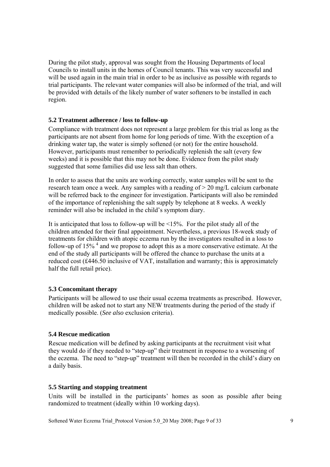During the pilot study, approval was sought from the Housing Departments of local Councils to install units in the homes of Council tenants. This was very successful and will be used again in the main trial in order to be as inclusive as possible with regards to trial participants. The relevant water companies will also be informed of the trial, and will be provided with details of the likely number of water softeners to be installed in each region.

### **5.2 Treatment adherence / loss to follow-up**

Compliance with treatment does not represent a large problem for this trial as long as the participants are not absent from home for long periods of time. With the exception of a drinking water tap, the water is simply softened (or not) for the entire household. However, participants must remember to periodically replenish the salt (every few weeks) and it is possible that this may not be done. Evidence from the pilot study suggested that some families did use less salt than others.

In order to assess that the units are working correctly, water samples will be sent to the research team once a week. Any samples with a reading of > 20 mg/L calcium carbonate will be referred back to the engineer for investigation. Participants will also be reminded of the importance of replenishing the salt supply by telephone at 8 weeks. A weekly reminder will also be included in the child's symptom diary.

It is anticipated that loss to follow-up will be <15%. For the pilot study all of the children attended for their final appointment. Nevertheless, a previous 18-week study of treatments for children with atopic eczema run by the investigators resulted in a loss to follow-up of  $15\%$ <sup>4</sup> and we propose to adopt this as a more conservative estimate. At the end of the study all participants will be offered the chance to purchase the units at a reduced cost (£446.50 inclusive of VAT, installation and warranty; this is approximately half the full retail price).

### **5.3 Concomitant therapy**

Participants will be allowed to use their usual eczema treatments as prescribed. However, children will be asked not to start any NEW treatments during the period of the study if medically possible. (*See also* exclusion criteria).

### **5.4 Rescue medication**

Rescue medication will be defined by asking participants at the recruitment visit what they would do if they needed to "step-up" their treatment in response to a worsening of the eczema. The need to "step-up" treatment will then be recorded in the child's diary on a daily basis.

### **5.5 Starting and stopping treatment**

Units will be installed in the participants' homes as soon as possible after being randomized to treatment (ideally within 10 working days).

Softened Water Eczema Trial Protocol Version 5.0 20 May 2008; Page 9 of 33 9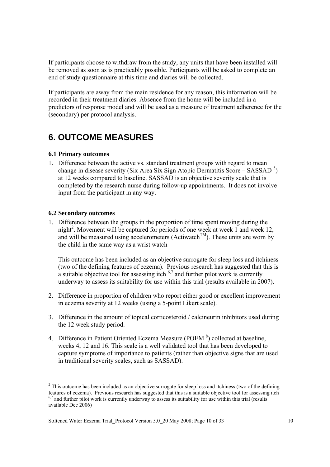If participants choose to withdraw from the study, any units that have been installed will be removed as soon as is practicably possible. Participants will be asked to complete an end of study questionnaire at this time and diaries will be collected.

If participants are away from the main residence for any reason, this information will be recorded in their treatment diaries. Absence from the home will be included in a predictors of response model and will be used as a measure of treatment adherence for the (secondary) per protocol analysis.

### **6. OUTCOME MEASURES**

### **6.1 Primary outcomes**

1. Difference between the active vs. standard treatment groups with regard to mean change in disease severity (Six Area Six Sign Atopic Dermatitis Score – SASSAD<sup>5</sup>) at 12 weeks compared to baseline. SASSAD is an objective severity scale that is completed by the research nurse during follow-up appointments. It does not involve input from the participant in any way.

### **6.2 Secondary outcomes**

l

1. Difference between the groups in the proportion of time spent moving during the night<sup>2</sup>. Movement will be captured for periods of one week at week 1 and week 12, and will be measured using accelerometers (Actiwatch<sup>TM</sup>). These units are worn by the child in the same way as a wrist watch

This outcome has been included as an objective surrogate for sleep loss and itchiness (two of the defining features of eczema). Previous research has suggested that this is a suitable objective tool for assessing itch  $67$  and further pilot work is currently underway to assess its suitability for use within this trial (results available in 2007).

- 2. Difference in proportion of children who report either good or excellent improvement in eczema severity at 12 weeks (using a 5-point Likert scale).
- 3. Difference in the amount of topical corticosteroid / calcineurin inhibitors used during the 12 week study period.
- 4. Difference in Patient Oriented Eczema Measure (POEM $<sup>8</sup>$ ) collected at baseline,</sup> weeks 4, 12 and 16. This scale is a well validated tool that has been developed to capture symptoms of importance to patients (rather than objective signs that are used in traditional severity scales, such as SASSAD).

 $2^2$  This outcome has been included as an objective surrogate for sleep loss and itchiness (two of the defining features of eczema). Previous research has suggested that this is a suitable objective tool for assessing itch  $6,7$  and further pilot work is currently underway to assess its suitability for use within this trial (results available Dec 2006)

Softened Water Eczema Trial Protocol Version 5.0 20 May 2008; Page 10 of 33 10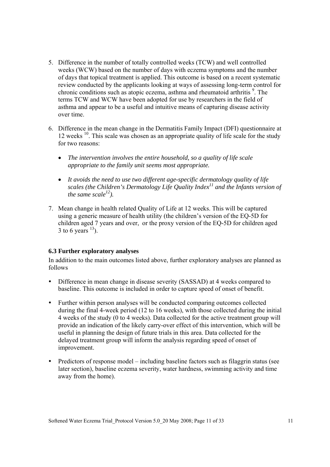- 5. Difference in the number of totally controlled weeks (TCW) and well controlled weeks (WCW) based on the number of days with eczema symptoms and the number of days that topical treatment is applied. This outcome is based on a recent systematic review conducted by the applicants looking at ways of assessing long-term control for chronic conditions such as atopic eczema, asthma and rheumatoid arthritis <sup>9</sup>. The terms TCW and WCW have been adopted for use by researchers in the field of asthma and appear to be a useful and intuitive means of capturing disease activity over time.
- 6. Difference in the mean change in the Dermatitis Family Impact (DFI) questionnaire at 12 weeks  $10$ . This scale was chosen as an appropriate quality of life scale for the study for two reasons:
	- *The intervention involves the entire household, so a quality of life scale appropriate to the family unit seems most appropriate.*
	- *It avoids the need to use two different age-specific dermatology quality of life scales (the Children's Dermatology Life Quality Index11 and the Infants version of the same scale*<sup> $12$ </sup>).
- 7. Mean change in health related Quality of Life at 12 weeks. This will be captured using a generic measure of health utility (the children's version of the EQ-5D for children aged 7 years and over, or the proxy version of the EQ-5D for children aged 3 to 6 years  $^{13}$ ).

### **6.3 Further exploratory analyses**

In addition to the main outcomes listed above, further exploratory analyses are planned as follows

- Difference in mean change in disease severity (SASSAD) at 4 weeks compared to baseline. This outcome is included in order to capture speed of onset of benefit.
- Further within person analyses will be conducted comparing outcomes collected during the final 4-week period (12 to 16 weeks), with those collected during the initial 4 weeks of the study (0 to 4 weeks). Data collected for the active treatment group will provide an indication of the likely carry-over effect of this intervention, which will be useful in planning the design of future trials in this area. Data collected for the delayed treatment group will inform the analysis regarding speed of onset of improvement.
- Predictors of response model including baseline factors such as filaggrin status (see later section), baseline eczema severity, water hardness, swimming activity and time away from the home).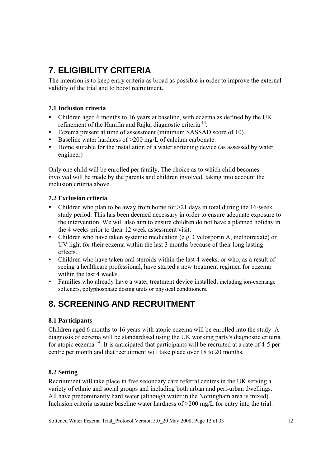# **7. ELIGIBILITY CRITERIA**

The intention is to keep entry criteria as broad as possible in order to improve the external validity of the trial and to boost recruitment.

### **7.1 Inclusion criteria**

- Children aged 6 months to 16 years at baseline, with eczema as defined by the UK refinement of the Hanifin and Rajka diagnostic criteria 14.
- Eczema present at time of assessment (minimum SASSAD score of 10).
- Baseline water hardness of  $>200$  mg/L of calcium carbonate.
- Home suitable for the installation of a water softening device (as assessed by water engineer)

Only one child will be enrolled per family. The choice as to which child becomes involved will be made by the parents and children involved, taking into account the inclusion criteria above.

### **7.2 Exclusion criteria**

- Children who plan to be away from home for  $>21$  days in total during the 16-week study period. This has been deemed necessary in order to ensure adequate exposure to the intervention. We will also aim to ensure children do not have a planned holiday in the 4 weeks prior to their 12 week assessment visit.
- Children who have taken systemic medication (e.g. Cyclosporin A, methotrexate) or UV light for their eczema within the last 3 months because of their long lasting effects.
- Children who have taken oral steroids within the last 4 weeks, or who, as a result of seeing a healthcare professional, have started a new treatment regimen for eczema within the last 4 weeks.
- Families who already have a water treatment device installed, including ion-exchange softeners, polyphosphate dosing units or physical conditioners.

## **8. SCREENING AND RECRUITMENT**

### **8.1 Participants**

Children aged 6 months to 16 years with atopic eczema will be enrolled into the study. A diagnosis of eczema will be standardised using the UK working party's diagnostic criteria for atopic eczema<sup>14</sup>. It is anticipated that participants will be recruited at a rate of 4-5 per centre per month and that recruitment will take place over 18 to 20 months.

### **8.2 Setting**

Recruitment will take place in five secondary care referral centres in the UK serving a variety of ethnic and social groups and including both urban and peri-urban dwellings. All have predominantly hard water (although water in the Nottingham area is mixed). Inclusion criteria assume baseline water hardness of >200 mg/L for entry into the trial.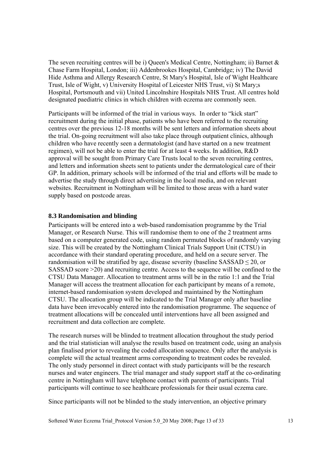The seven recruiting centres will be i) Queen's Medical Centre, Nottingham; ii) Barnet  $\&$ Chase Farm Hospital, London; iii) Addenbrookes Hospital, Cambridge; iv) The David Hide Asthma and Allergy Research Centre, St Mary's Hospital, Isle of Wight Healthcare Trust, Isle of Wight, v) University Hospital of Leicester NHS Trust, vi) St Mary;s Hospital, Portsmouth and vii) United Lincolnshire Hospitals NHS Trust. All centres hold designated paediatric clinics in which children with eczema are commonly seen.

Participants will be informed of the trial in various ways. In order to "kick start" recruitment during the initial phase, patients who have been referred to the recruiting centres over the previous 12-18 months will be sent letters and information sheets about the trial. On-going recruitment will also take place through outpatient clinics, although children who have recently seen a dermatologist (and have started on a new treatment regimen), will not be able to enter the trial for at least 4 weeks. In addition, R&D approval will be sought from Primary Care Trusts local to the seven recruiting centres, and letters and information sheets sent to patients under the dermatological care of their GP. In addition, primary schools will be informed of the trial and efforts will be made to advertise the study through direct advertising in the local media, and on relevant websites. Recruitment in Nottingham will be limited to those areas with a hard water supply based on postcode areas.

#### **8.3 Randomisation and blinding**

Participants will be entered into a web-based randomisation programme by the Trial Manager, or Research Nurse. This will randomise them to one of the 2 treatment arms based on a computer generated code, using random permuted blocks of randomly varying size. This will be created by the Nottingham Clinical Trials Support Unit (CTSU) in accordance with their standard operating procedure, and held on a secure server. The randomisation will be stratified by age, disease severity (baseline  $SASSAD \leq 20$ , or SASSAD score >20) and recruiting centre. Access to the sequence will be confined to the CTSU Data Manager. Allocation to treatment arms will be in the ratio 1:1 and the Trial Manager will access the treatment allocation for each participant by means of a remote, internet-based randomisation system developed and maintained by the Nottingham CTSU. The allocation group will be indicated to the Trial Manager only after baseline data have been irrevocably entered into the randomisation programme. The sequence of treatment allocations will be concealed until interventions have all been assigned and recruitment and data collection are complete.

The research nurses will be blinded to treatment allocation throughout the study period and the trial statistician will analyse the results based on treatment code, using an analysis plan finalised prior to revealing the coded allocation sequence. Only after the analysis is complete will the actual treatment arms corresponding to treatment codes be revealed. The only study personnel in direct contact with study participants will be the research nurses and water engineers. The trial manager and study support staff at the co-ordinating centre in Nottingham will have telephone contact with parents of participants. Trial participants will continue to see healthcare professionals for their usual eczema care.

Since participants will not be blinded to the study intervention, an objective primary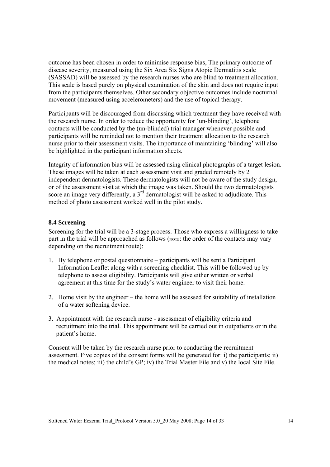outcome has been chosen in order to minimise response bias, The primary outcome of disease severity, measured using the Six Area Six Signs Atopic Dermatitis scale (SASSAD) will be assessed by the research nurses who are blind to treatment allocation. This scale is based purely on physical examination of the skin and does not require input from the participants themselves. Other secondary objective outcomes include nocturnal movement (measured using accelerometers) and the use of topical therapy.

Participants will be discouraged from discussing which treatment they have received with the research nurse. In order to reduce the opportunity for 'un-blinding', telephone contacts will be conducted by the (un-blinded) trial manager whenever possible and participants will be reminded not to mention their treatment allocation to the research nurse prior to their assessment visits. The importance of maintaining 'blinding' will also be highlighted in the participant information sheets.

Integrity of information bias will be assessed using clinical photographs of a target lesion. These images will be taken at each assessment visit and graded remotely by 2 independent dermatologists. These dermatologists will not be aware of the study design, or of the assessment visit at which the image was taken. Should the two dermatologists score an image very differently, a  $3<sup>rd</sup>$  dermatologist will be asked to adjudicate. This method of photo assessment worked well in the pilot study.

#### **8.4 Screening**

Screening for the trial will be a 3-stage process. Those who express a willingness to take part in the trial will be approached as follows (NOTE: the order of the contacts may vary depending on the recruitment route):

- 1. By telephone or postal questionnaire participants will be sent a Participant Information Leaflet along with a screening checklist. This will be followed up by telephone to assess eligibility. Participants will give either written or verbal agreement at this time for the study's water engineer to visit their home.
- 2. Home visit by the engineer the home will be assessed for suitability of installation of a water softening device.
- 3. Appointment with the research nurse assessment of eligibility criteria and recruitment into the trial. This appointment will be carried out in outpatients or in the patient's home.

Consent will be taken by the research nurse prior to conducting the recruitment assessment. Five copies of the consent forms will be generated for: i) the participants; ii) the medical notes; iii) the child's GP; iv) the Trial Master File and v) the local Site File.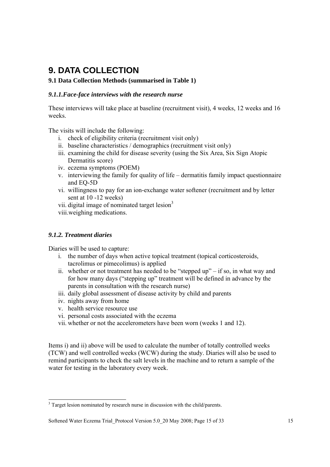## **9. DATA COLLECTION**

### **9.1 Data Collection Methods (summarised in Table 1)**

### *9.1.1.Face-face interviews with the research nurse*

These interviews will take place at baseline (recruitment visit), 4 weeks, 12 weeks and 16 weeks.

The visits will include the following:

- i. check of eligibility criteria (recruitment visit only)
- ii. baseline characteristics / demographics (recruitment visit only)
- iii. examining the child for disease severity (using the Six Area, Six Sign Atopic Dermatitis score)
- iv. eczema symptoms (POEM)
- v. interviewing the family for quality of life dermatitis family impact questionnaire and EQ-5D
- vi. willingness to pay for an ion-exchange water softener (recruitment and by letter sent at 10 -12 weeks)
- vii. digital image of nominated target lesion<sup>3</sup>
- viii.weighing medications.

### *9.1.2. Treatment diaries*

 $\overline{a}$ 

Diaries will be used to capture:

- i. the number of days when active topical treatment (topical corticosteroids, tacrolimus or pimecolimus) is applied
- ii. whether or not treatment has needed to be "stepped up" if so, in what way and for how many days ("stepping up" treatment will be defined in advance by the parents in consultation with the research nurse)
- iii. daily global assessment of disease activity by child and parents
- iv. nights away from home
- v. health service resource use
- vi. personal costs associated with the eczema
- vii. whether or not the accelerometers have been worn (weeks 1 and 12).

Items i) and ii) above will be used to calculate the number of totally controlled weeks (TCW) and well controlled weeks (WCW) during the study. Diaries will also be used to remind participants to check the salt levels in the machine and to return a sample of the water for testing in the laboratory every week.

<sup>&</sup>lt;sup>3</sup> Target lesion nominated by research nurse in discussion with the child/parents.

Softened Water Eczema Trial\_Protocol Version 5.0\_20 May 2008; Page 15 of 33 15 15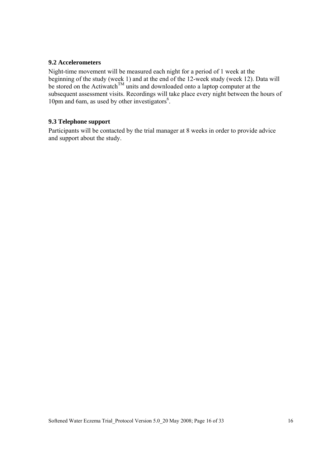#### **9.2 Accelerometers**

Night-time movement will be measured each night for a period of 1 week at the beginning of the study (week 1) and at the end of the 12-week study (week 12). Data will be stored on the Actiwatch<sup>TM</sup> units and downloaded onto a laptop computer at the subsequent assessment visits. Recordings will take place every night between the hours of 10pm and 6am, as used by other investigators<sup>6</sup>.

### **9.3 Telephone support**

Participants will be contacted by the trial manager at 8 weeks in order to provide advice and support about the study.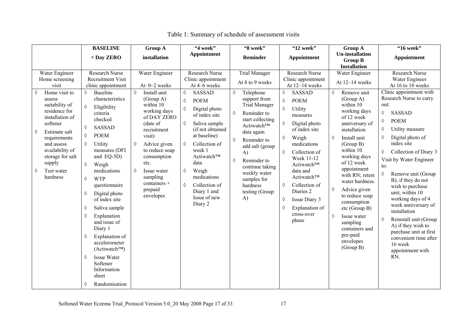| <b>BASELINE</b>                                                                                                                                                                                                                                                                                                                                                                                                                                                                                                                                                                                                                                                                                                                                                                                                                                               | <b>Group A</b>                                                                                                                                                                                                                                                                                   | "4 week"                                                                                                                                                                                                                                                                                                                                                           | "8 week"                                                                                                                                                                                                                                                                                                                           | "12 week"                                                                                                                                                                                                                                                                                                                                                                           | <b>Group A</b>                                                                                                                                                                                                                                                                                                                                                                                                                                  | "16 week"                                                                                                                                                                                                                                                                                                                                                                                                                                                                                                                                                                                            |
|---------------------------------------------------------------------------------------------------------------------------------------------------------------------------------------------------------------------------------------------------------------------------------------------------------------------------------------------------------------------------------------------------------------------------------------------------------------------------------------------------------------------------------------------------------------------------------------------------------------------------------------------------------------------------------------------------------------------------------------------------------------------------------------------------------------------------------------------------------------|--------------------------------------------------------------------------------------------------------------------------------------------------------------------------------------------------------------------------------------------------------------------------------------------------|--------------------------------------------------------------------------------------------------------------------------------------------------------------------------------------------------------------------------------------------------------------------------------------------------------------------------------------------------------------------|------------------------------------------------------------------------------------------------------------------------------------------------------------------------------------------------------------------------------------------------------------------------------------------------------------------------------------|-------------------------------------------------------------------------------------------------------------------------------------------------------------------------------------------------------------------------------------------------------------------------------------------------------------------------------------------------------------------------------------|-------------------------------------------------------------------------------------------------------------------------------------------------------------------------------------------------------------------------------------------------------------------------------------------------------------------------------------------------------------------------------------------------------------------------------------------------|------------------------------------------------------------------------------------------------------------------------------------------------------------------------------------------------------------------------------------------------------------------------------------------------------------------------------------------------------------------------------------------------------------------------------------------------------------------------------------------------------------------------------------------------------------------------------------------------------|
| $=$ Day ZERO                                                                                                                                                                                                                                                                                                                                                                                                                                                                                                                                                                                                                                                                                                                                                                                                                                                  | installation                                                                                                                                                                                                                                                                                     | Appointment                                                                                                                                                                                                                                                                                                                                                        | Reminder                                                                                                                                                                                                                                                                                                                           | Appointment                                                                                                                                                                                                                                                                                                                                                                         | <b>Un-installation</b><br><b>Group B</b><br><b>Installation</b>                                                                                                                                                                                                                                                                                                                                                                                 | Appointment                                                                                                                                                                                                                                                                                                                                                                                                                                                                                                                                                                                          |
| <b>Research Nurse</b><br>Water Engineer<br><b>Recruitment Visit</b><br>Home screening<br>clinic appointment<br>visit<br>Home visit to<br>Baseline<br>♦<br>♦<br>characteristics<br>assess<br>suitability of<br>Eligibility<br>residence for<br>criteria<br>installation of<br>checked<br>softener<br><b>SASSAD</b><br>♦<br>♦<br>Estimate salt<br><b>POEM</b><br>♦<br>requirements<br>Utility<br>♦<br>and assess<br>measures (DFI<br>availability of<br>and EQ-5D)<br>storage for salt<br>supply<br>♦<br>Weigh<br>medications<br>Test water<br>♦<br>hardness<br><b>WTP</b><br>♦<br>questionnaire<br>Digital photo<br>♦<br>of index site<br>Saliva sample<br>♦<br>Explanation<br>♦<br>and issue of<br>Diary 1<br>Explanation of<br>♦<br>accelerometer<br>$(Actiwatch^{TM})$<br><b>Issue Water</b><br>♦<br>Softener<br>Information<br>sheet<br>Randomisation<br>♦ | Water Engineer<br>At 0-2 weeks<br>$\Diamond$<br>Install unit<br>(Group A)<br>within 10<br>working days<br>of DAY ZERO<br>(date of<br>recruitment<br>visit)<br>♦<br>Advice given<br>to reduce soap<br>consumption<br>etc.<br>♦<br>Issue water<br>sampling<br>containers +<br>prepaid<br>envelopes | <b>Research Nurse</b><br>Clinic appointment<br>At 4-6 weeks<br>$\Diamond$<br><b>SASSAD</b><br><b>POEM</b><br>♦<br>Digital photo<br>♦<br>of index site<br>Saliva sample<br>♦<br>(if not obtained<br>at baseline)<br>Collection of<br>♦<br>week 1<br>Actiwatch™<br>data<br>Weigh<br>♦<br>medications<br>Collection of<br>♦<br>Diary 1 and<br>Issue of new<br>Diary 2 | <b>Trial Manager</b><br>At 8 to 9 weeks<br>Telephone<br>♦<br>support from<br><b>Trial Manager</b><br>Reminder to<br>♦<br>start collecting<br>Actiwatch™<br>data again<br>Reminder to<br>♦<br>add salt (group<br>$\bf{A}$<br>Reminder to<br>♦<br>continue taking<br>weekly water<br>samples for<br>hardness<br>testing (Group<br>A) | Research Nurse<br>Clinic appointment<br>At 12-14 weeks<br><b>SASSAD</b><br>♦<br><b>POEM</b><br>♦<br>♦<br>Utility<br>measures<br>♦<br>Digital photo<br>of index site<br>Weigh<br>♦<br>medications<br>♦<br>Collection of<br>Week 11-12<br>Actiwatch™<br>data and<br>Actiwatch™<br>Collection of<br>♦<br>Diaries 2<br>Issue Diary 3<br>♦<br>Explanation of<br>♦<br>cross-over<br>phase | Water Engineer<br>At 12-14 weeks<br>Remove unit<br>♦<br>(Group A)<br>within 10<br>working days<br>of 12 week<br>anniversary of<br>installation<br>Install unit<br>♦<br>(Group B)<br>within 10<br>working days<br>of 12 week<br>appointment<br>with RN; retest<br>water hardness.<br>♦<br>Advice given<br>to reduce soap<br>consumption<br>etc (Group B)<br>♦<br>Issue water<br>sampling<br>containers and<br>pre-paid<br>envelopes<br>(Group B) | <b>Research Nurse</b><br>Water Engineer<br>At 16 to 18 weeks<br>Clinic appointment with<br>Research Nurse to carry<br>out:<br><b>SASSAD</b><br>♦<br><b>POEM</b><br>♦<br>Utility measure<br>♦<br>Digital photo of<br>♦<br>index site<br>Collection of Diary 3<br>♦<br>Visit by Water Engineer<br>to:<br>♦<br>Remove unit (Group<br>B), if they do not<br>wish to purchase<br>unit, within 10<br>working days of 4<br>week anniversary of<br>installation<br>Reinstall unit (Group<br>♦<br>A) if they wish to<br>purchase unit at first<br>convenient time after<br>16 week<br>appointment with<br>RN. |

|  |  |  | Table 1: Summary of schedule of assessment visits |  |
|--|--|--|---------------------------------------------------|--|
|--|--|--|---------------------------------------------------|--|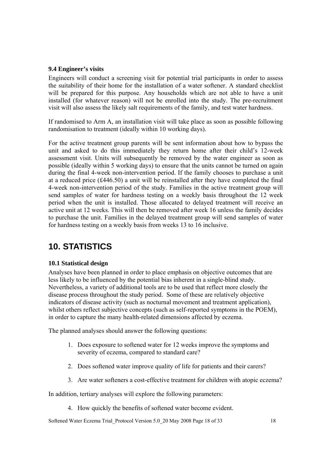### **9.4 Engineer's visits**

Engineers will conduct a screening visit for potential trial participants in order to assess the suitability of their home for the installation of a water softener. A standard checklist will be prepared for this purpose. Any households which are not able to have a unit installed (for whatever reason) will not be enrolled into the study. The pre-recruitment visit will also assess the likely salt requirements of the family, and test water hardness.

If randomised to Arm A, an installation visit will take place as soon as possible following randomisation to treatment (ideally within 10 working days).

For the active treatment group parents will be sent information about how to bypass the unit and asked to do this immediately they return home after their child's 12-week assessment visit. Units will subsequently be removed by the water engineer as soon as possible (ideally within 5 working days) to ensure that the units cannot be turned on again during the final 4-week non-intervention period. If the family chooses to purchase a unit at a reduced price (£446.50) a unit will be reinstalled after they have completed the final 4-week non-intervention period of the study. Families in the active treatment group will send samples of water for hardness testing on a weekly basis throughout the 12 week period when the unit is installed. Those allocated to delayed treatment will receive an active unit at 12 weeks. This will then be removed after week 16 unless the family decides to purchase the unit. Families in the delayed treatment group will send samples of water for hardness testing on a weekly basis from weeks 13 to 16 inclusive.

## **10. STATISTICS**

### **10.1 Statistical design**

Analyses have been planned in order to place emphasis on objective outcomes that are less likely to be influenced by the potential bias inherent in a single-blind study. Nevertheless, a variety of additional tools are to be used that reflect more closely the disease process throughout the study period. Some of these are relatively objective indicators of disease activity (such as nocturnal movement and treatment application), whilst others reflect subjective concepts (such as self-reported symptoms in the POEM), in order to capture the many health-related dimensions affected by eczema.

The planned analyses should answer the following questions:

- 1. Does exposure to softened water for 12 weeks improve the symptoms and severity of eczema, compared to standard care?
- 2. Does softened water improve quality of life for patients and their carers?
- 3. Are water softeners a cost-effective treatment for children with atopic eczema?

In addition, tertiary analyses will explore the following parameters:

4. How quickly the benefits of softened water become evident.

Softened Water Eczema Trial Protocol Version 5.0 20 May 2008 Page 18 of 33 18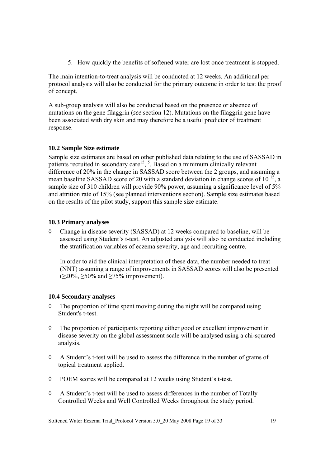5. How quickly the benefits of softened water are lost once treatment is stopped.

The main intention-to-treat analysis will be conducted at 12 weeks. An additional per protocol analysis will also be conducted for the primary outcome in order to test the proof of concept.

A sub-group analysis will also be conducted based on the presence or absence of mutations on the gene filaggrin (*see* section 12). Mutations on the filaggrin gene have been associated with dry skin and may therefore be a useful predictor of treatment response.

### **10.2 Sample Size estimate**

Sample size estimates are based on other published data relating to the use of SASSAD in patients recruited in secondary care<sup>15</sup>,  $\overline{5}$ . Based on a minimum clinically relevant difference of 20% in the change in SASSAD score between the 2 groups, and assuming a mean baseline SASSAD score of 20 with a standard deviation in change scores of  $10^{-15}$ , a sample size of 310 children will provide 90% power, assuming a significance level of 5% and attrition rate of 15% (see planned interventions section). Sample size estimates based on the results of the pilot study, support this sample size estimate.

### **10.3 Primary analyses**

◊ Change in disease severity (SASSAD) at 12 weeks compared to baseline, will be assessed using Student's t-test. An adjusted analysis will also be conducted including the stratification variables of eczema severity, age and recruiting centre.

In order to aid the clinical interpretation of these data, the number needed to treat (NNT) assuming a range of improvements in SASSAD scores will also be presented  $(\geq 20\%, \geq 50\%$  and  $\geq 75\%$  improvement).

### **10.4 Secondary analyses**

- $\Diamond$  The proportion of time spent moving during the night will be compared using Student's t-test.
- ◊ The proportion of participants reporting either good or excellent improvement in disease severity on the global assessment scale will be analysed using a chi-squared analysis.
- ◊ A Student's t-test will be used to assess the difference in the number of grams of topical treatment applied.
- ◊ POEM scores will be compared at 12 weeks using Student's t-test.
- $\Diamond$  A Student's t-test will be used to assess differences in the number of Totally Controlled Weeks and Well Controlled Weeks throughout the study period.

Softened Water Eczema Trial Protocol Version 5.0 20 May 2008 Page 19 of 33 19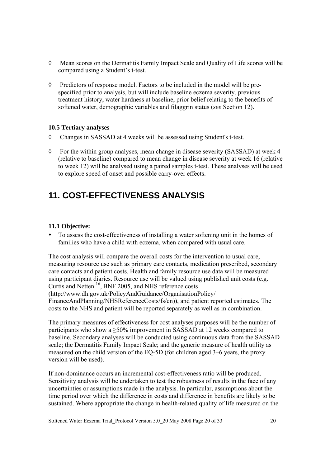- ◊ Mean scores on the Dermatitis Family Impact Scale and Quality of Life scores will be compared using a Student's t-test.
- $\Diamond$  Predictors of response model. Factors to be included in the model will be prespecified prior to analysis, but will include baseline eczema severity, previous treatment history, water hardness at baseline, prior belief relating to the benefits of softened water, demographic variables and filaggrin status (*see* Section 12).

### **10.5 Tertiary analyses**

- ◊ Changes in SASSAD at 4 weeks will be assessed using Student's t-test.
- ◊ For the within group analyses, mean change in disease severity (SASSAD) at week 4 (relative to baseline) compared to mean change in disease severity at week 16 (relative to week 12) will be analysed using a paired samples t-test. These analyses will be used to explore speed of onset and possible carry-over effects.

## **11. COST-EFFECTIVENESS ANALYSIS**

### **11.1 Objective:**

• To assess the cost-effectiveness of installing a water softening unit in the homes of families who have a child with eczema, when compared with usual care.

The cost analysis will compare the overall costs for the intervention to usual care, measuring resource use such as primary care contacts, medication prescribed, secondary care contacts and patient costs. Health and family resource use data will be measured using participant diaries. Resource use will be valued using published unit costs (e.g. Curtis and Netten 16, BNF 2005, and NHS reference costs (http://www.dh.gov.uk/PolicyAndGuidance/OrganisationPolicy/ FinanceAndPlanning/NHSReferenceCosts/fs/en)), and patient reported estimates. The costs to the NHS and patient will be reported separately as well as in combination.

The primary measures of effectiveness for cost analyses purposes will be the number of participants who show a  $\geq$ 50% improvement in SASSAD at 12 weeks compared to baseline. Secondary analyses will be conducted using continuous data from the SASSAD scale; the Dermatitis Family Impact Scale; and the generic measure of health utility as measured on the child version of the EQ-5D (for children aged 3–6 years, the proxy version will be used).

If non-dominance occurs an incremental cost-effectiveness ratio will be produced. Sensitivity analysis will be undertaken to test the robustness of results in the face of any uncertainties or assumptions made in the analysis. In particular, assumptions about the time period over which the difference in costs and difference in benefits are likely to be sustained. Where appropriate the change in health-related quality of life measured on the

Softened Water Eczema Trial\_Protocol Version 5.0\_20 May 2008 Page 20 of 33 20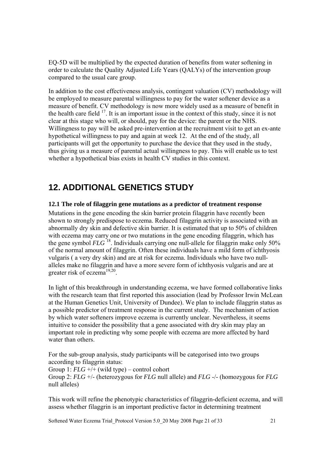EQ-5D will be multiplied by the expected duration of benefits from water softening in order to calculate the Quality Adjusted Life Years (QALYs) of the intervention group compared to the usual care group.

In addition to the cost effectiveness analysis, contingent valuation (CV) methodology will be employed to measure parental willingness to pay for the water softener device as a measure of benefit. CV methodology is now more widely used as a measure of benefit in the health care field  $17$ . It is an important issue in the context of this study, since it is not clear at this stage who will, or should, pay for the device: the parent or the NHS. Willingness to pay will be asked pre-intervention at the recruitment visit to get an ex-ante hypothetical willingness to pay and again at week 12. At the end of the study, all participants will get the opportunity to purchase the device that they used in the study, thus giving us a measure of parental actual willingness to pay. This will enable us to test whether a hypothetical bias exists in health CV studies in this context.

### **12. ADDITIONAL GENETICS STUDY**

### **12.1 The role of filaggrin gene mutations as a predictor of treatment response**

Mutations in the gene encoding the skin barrier protein filaggrin have recently been shown to strongly predispose to eczema. Reduced filaggrin activity is associated with an abnormally dry skin and defective skin barrier. It is estimated that up to 50% of children with eczema may carry one or two mutations in the gene encoding filaggrin, which has the gene symbol  $FLG$ <sup>18</sup>. Individuals carrying one null-allele for filaggrin make only 50% of the normal amount of filaggrin. Often these individuals have a mild form of ichthyosis vulgaris ( a very dry skin) and are at risk for eczema. Individuals who have two nullalleles make no filaggrin and have a more severe form of ichthyosis vulgaris and are at greater risk of eczema<sup>19,20</sup>.

In light of this breakthrough in understanding eczema, we have formed collaborative links with the research team that first reported this association (lead by Professor Irwin McLean at the Human Genetics Unit, University of Dundee). We plan to include filaggrin status as a possible predictor of treatment response in the current study. The mechanism of action by which water softeners improve eczema is currently unclear. Nevertheless, it seems intuitive to consider the possibility that a gene associated with dry skin may play an important role in predicting why some people with eczema are more affected by hard water than others.

For the sub-group analysis, study participants will be categorised into two groups according to filaggrin status:

Group 1: *FLG* +/+ (wild type) – control cohort Group 2: *FLG* +/- (heterozygous for *FLG* null allele) and *FLG* -/- (homozygous for *FLG* null alleles)

This work will refine the phenotypic characteristics of filaggrin-deficient eczema, and will assess whether filaggrin is an important predictive factor in determining treatment

Softened Water Eczema Trial Protocol Version 5.0 20 May 2008 Page 21 of 33 21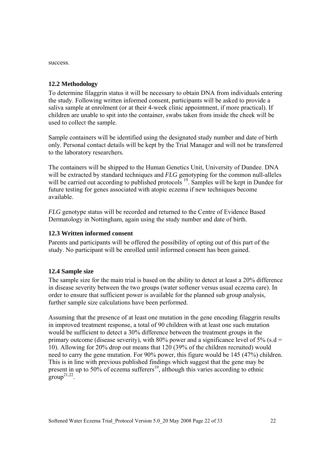success.

### **12.2 Methodology**

To determine filaggrin status it will be necessary to obtain DNA from individuals entering the study. Following written informed consent, participants will be asked to provide a saliva sample at enrolment (or at their 4-week clinic appointment, if more practical). If children are unable to spit into the container, swabs taken from inside the cheek will be used to collect the sample.

Sample containers will be identified using the designated study number and date of birth only. Personal contact details will be kept by the Trial Manager and will not be transferred to the laboratory researchers.

The containers will be shipped to the Human Genetics Unit, University of Dundee. DNA will be extracted by standard techniques and *FLG* genotyping for the common null-alleles will be carried out according to published protocols <sup>19</sup>. Samples will be kept in Dundee for future testing for genes associated with atopic eczema if new techniques become available.

*FLG* genotype status will be recorded and returned to the Centre of Evidence Based Dermatology in Nottingham, again using the study number and date of birth.

### **12.3 Written informed consent**

Parents and participants will be offered the possibility of opting out of this part of the study. No participant will be enrolled until informed consent has been gained.

### **12.4 Sample size**

The sample size for the main trial is based on the ability to detect at least a 20% difference in disease severity between the two groups (water softener versus usual eczema care). In order to ensure that sufficient power is available for the planned sub group analysis, further sample size calculations have been performed.

Assuming that the presence of at least one mutation in the gene encoding filaggrin results in improved treatment response, a total of 90 children with at least one such mutation would be sufficient to detect a 30% difference between the treatment groups in the primary outcome (disease severity), with 80% power and a significance level of 5% (s.d = 10). Allowing for 20% drop out means that 120 (39% of the children recruited) would need to carry the gene mutation. For 90% power, this figure would be 145 (47%) children. This is in line with previous published findings which suggest that the gene may be present in up to 50% of eczema sufferers<sup>19</sup>, although this varies according to ethnic  $\text{group}^{21,22}$ .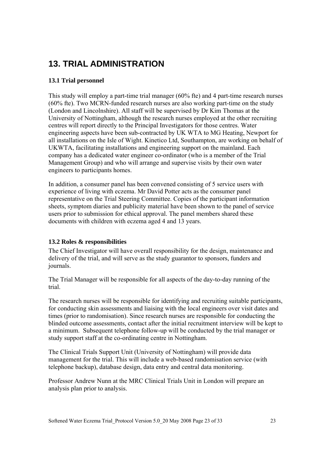## **13. TRIAL ADMINISTRATION**

### **13.1 Trial personnel**

This study will employ a part-time trial manager (60% fte) and 4 part-time research nurses (60% fte). Two MCRN-funded research nurses are also working part-time on the study (London and Lincolnshire). All staff will be supervised by Dr Kim Thomas at the University of Nottingham, although the research nurses employed at the other recruiting centres will report directly to the Principal Investigators for those centres. Water engineering aspects have been sub-contracted by UK WTA to MG Heating, Newport for all installations on the Isle of Wight. Kinetico Ltd, Southampton, are working on behalf of UKWTA, facilitating installations and engineering support on the mainland. Each company has a dedicated water engineer co-ordinator (who is a member of the Trial Management Group) and who will arrange and supervise visits by their own water engineers to participants homes.

In addition, a consumer panel has been convened consisting of 5 service users with experience of living with eczema. Mr David Potter acts as the consumer panel representative on the Trial Steering Committee. Copies of the participant information sheets, symptom diaries and publicity material have been shown to the panel of service users prior to submission for ethical approval. The panel members shared these documents with children with eczema aged 4 and 13 years.

### **13.2 Roles & responsibilities**

The Chief Investigator will have overall responsibility for the design, maintenance and delivery of the trial, and will serve as the study guarantor to sponsors, funders and journals.

The Trial Manager will be responsible for all aspects of the day-to-day running of the trial.

The research nurses will be responsible for identifying and recruiting suitable participants, for conducting skin assessments and liaising with the local engineers over visit dates and times (prior to randomisation). Since research nurses are responsible for conducting the blinded outcome assessments, contact after the initial recruitment interview will be kept to a minimum. Subsequent telephone follow-up will be conducted by the trial manager or study support staff at the co-ordinating centre in Nottingham.

The Clinical Trials Support Unit (University of Nottingham) will provide data management for the trial. This will include a web-based randomisation service (with telephone backup), database design, data entry and central data monitoring.

Professor Andrew Nunn at the MRC Clinical Trials Unit in London will prepare an analysis plan prior to analysis.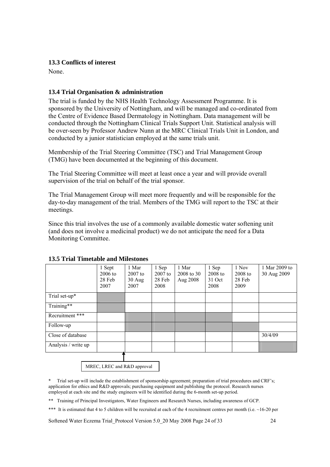### **13.3 Conflicts of interest**

None.

### **13.4 Trial Organisation & administration**

The trial is funded by the NHS Health Technology Assessment Programme. It is sponsored by the University of Nottingham, and will be managed and co-ordinated from the Centre of Evidence Based Dermatology in Nottingham. Data management will be conducted through the Nottingham Clinical Trials Support Unit. Statistical analysis will be over-seen by Professor Andrew Nunn at the MRC Clinical Trials Unit in London, and conducted by a junior statistician employed at the same trials unit.

Membership of the Trial Steering Committee (TSC) and Trial Management Group (TMG) have been documented at the beginning of this document.

The Trial Steering Committee will meet at least once a year and will provide overall supervision of the trial on behalf of the trial sponsor.

The Trial Management Group will meet more frequently and will be responsible for the day-to-day management of the trial. Members of the TMG will report to the TSC at their meetings.

Since this trial involves the use of a commonly available domestic water softening unit (and does not involve a medicinal product) we do not anticipate the need for a Data Monitoring Committee.

|                     | 1 Sept<br>$2006$ to<br>28 Feb<br>2007 | 1 Mar<br>$2007$ to<br>$30$ Aug<br>2007 | 1 Sep<br>$2007$ to<br>28 Feb<br>2008 | 1 Mar<br>2008 to 30<br>Aug 2008 | 1 Sep<br>$2008$ to<br>31 Oct<br>2008 | 1 Nov<br>$2008$ to<br>28 Feb<br>2009 | 1 Mar 2009 to<br>30 Aug 2009 |
|---------------------|---------------------------------------|----------------------------------------|--------------------------------------|---------------------------------|--------------------------------------|--------------------------------------|------------------------------|
| Trial set-up*       |                                       |                                        |                                      |                                 |                                      |                                      |                              |
| Training**          |                                       |                                        |                                      |                                 |                                      |                                      |                              |
| Recruitment ***     |                                       |                                        |                                      |                                 |                                      |                                      |                              |
| Follow-up           |                                       |                                        |                                      |                                 |                                      |                                      |                              |
| Close of database   |                                       |                                        |                                      |                                 |                                      |                                      | 30/4/09                      |
| Analysis / write up |                                       |                                        |                                      |                                 |                                      |                                      |                              |

### **13.5 Trial Timetable and Milestones**

MREC, LREC and R&D approval

\* Trial set-up will include the establishment of sponsorship agreement; preparation of trial procedures and CRF's; application for ethics and R&D approvals; purchasing equipment and publishing the protocol. Research nurses employed at each site and the study engineers will be identified during the 6-month set-up period.

\*\* Training of Principal Investigators, Water Engineers and Research Nurses, including awareness of GCP.

\*\*\* It is estimated that 4 to 5 children will be recruited at each of the 4 recruitment centres per month (i.e.  $\sim$ 16-20 per

Softened Water Eczema Trial Protocol Version 5.0 20 May 2008 Page 24 of 33 24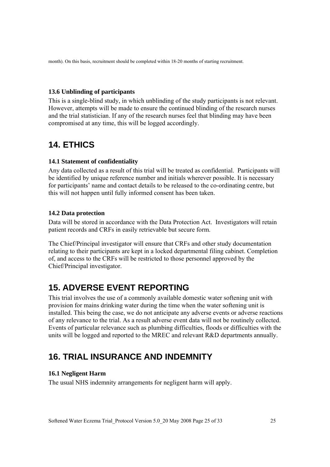month). On this basis, recruitment should be completed within 18-20 months of starting recruitment.

#### **13.6 Unblinding of participants**

This is a single-blind study, in which unblinding of the study participants is not relevant. However, attempts will be made to ensure the continued blinding of the research nurses and the trial statistician. If any of the research nurses feel that blinding may have been compromised at any time, this will be logged accordingly.

### **14. ETHICS**

#### **14.1 Statement of confidentiality**

Any data collected as a result of this trial will be treated as confidential. Participants will be identified by unique reference number and initials wherever possible. It is necessary for participants' name and contact details to be released to the co-ordinating centre, but this will not happen until fully informed consent has been taken.

#### **14.2 Data protection**

Data will be stored in accordance with the Data Protection Act. Investigators will retain patient records and CRFs in easily retrievable but secure form.

The Chief/Principal investigator will ensure that CRFs and other study documentation relating to their participants are kept in a locked departmental filing cabinet. Completion of, and access to the CRFs will be restricted to those personnel approved by the Chief/Principal investigator.

### **15. ADVERSE EVENT REPORTING**

This trial involves the use of a commonly available domestic water softening unit with provision for mains drinking water during the time when the water softening unit is installed. This being the case, we do not anticipate any adverse events or adverse reactions of any relevance to the trial. As a result adverse event data will not be routinely collected. Events of particular relevance such as plumbing difficulties, floods or difficulties with the units will be logged and reported to the MREC and relevant R&D departments annually.

### **16. TRIAL INSURANCE AND INDEMNITY**

#### **16.1 Negligent Harm**

The usual NHS indemnity arrangements for negligent harm will apply.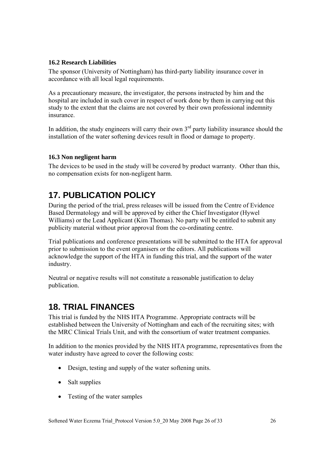### **16.2 Research Liabilities**

The sponsor (University of Nottingham) has third-party liability insurance cover in accordance with all local legal requirements.

As a precautionary measure, the investigator, the persons instructed by him and the hospital are included in such cover in respect of work done by them in carrying out this study to the extent that the claims are not covered by their own professional indemnity insurance.

In addition, the study engineers will carry their own  $3<sup>rd</sup>$  party liability insurance should the installation of the water softening devices result in flood or damage to property.

### **16.3 Non negligent harm**

The devices to be used in the study will be covered by product warranty. Other than this, no compensation exists for non-negligent harm.

# **17. PUBLICATION POLICY**

During the period of the trial, press releases will be issued from the Centre of Evidence Based Dermatology and will be approved by either the Chief Investigator (Hywel Williams) or the Lead Applicant (Kim Thomas). No party will be entitled to submit any publicity material without prior approval from the co-ordinating centre.

Trial publications and conference presentations will be submitted to the HTA for approval prior to submission to the event organisers or the editors. All publications will acknowledge the support of the HTA in funding this trial, and the support of the water industry.

Neutral or negative results will not constitute a reasonable justification to delay publication.

## **18. TRIAL FINANCES**

This trial is funded by the NHS HTA Programme. Appropriate contracts will be established between the University of Nottingham and each of the recruiting sites; with the MRC Clinical Trials Unit, and with the consortium of water treatment companies.

In addition to the monies provided by the NHS HTA programme, representatives from the water industry have agreed to cover the following costs:

- Design, testing and supply of the water softening units.
- Salt supplies
- Testing of the water samples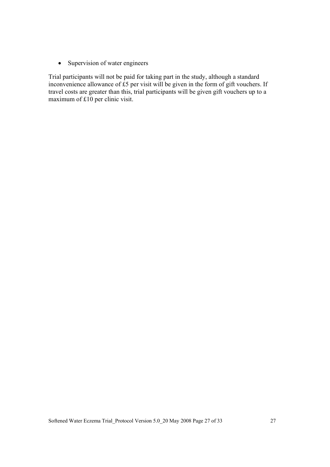• Supervision of water engineers

Trial participants will not be paid for taking part in the study, although a standard inconvenience allowance of  $\overrightarrow{E}$  per visit will be given in the form of gift vouchers. If travel costs are greater than this, trial participants will be given gift vouchers up to a maximum of £10 per clinic visit.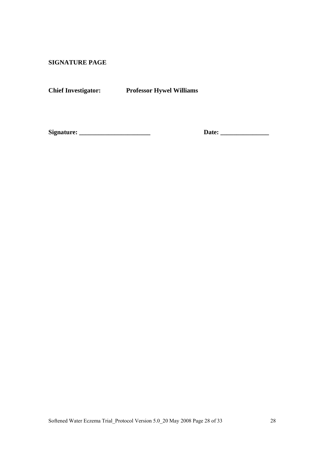**SIGNATURE PAGE** 

**Chief Investigator: Professor Hywel Williams** 

**Signature: \_\_\_\_\_\_\_\_\_\_\_\_\_\_\_\_\_\_\_\_\_\_ Date: \_\_\_\_\_\_\_\_\_\_\_\_\_\_\_**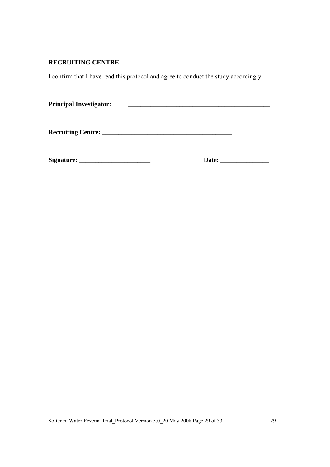### **RECRUITING CENTRE**

I confirm that I have read this protocol and agree to conduct the study accordingly.

| <b>Principal Investigator:</b> |  |
|--------------------------------|--|
|                                |  |

**Recruiting Centre: \_\_\_\_\_\_\_\_\_\_\_\_\_\_\_\_\_\_\_\_\_\_\_\_\_\_\_\_\_\_\_\_\_\_\_\_\_\_\_\_** 

**Signature: \_\_\_\_\_\_\_\_\_\_\_\_\_\_\_\_\_\_\_\_\_\_ Date: \_\_\_\_\_\_\_\_\_\_\_\_\_\_\_**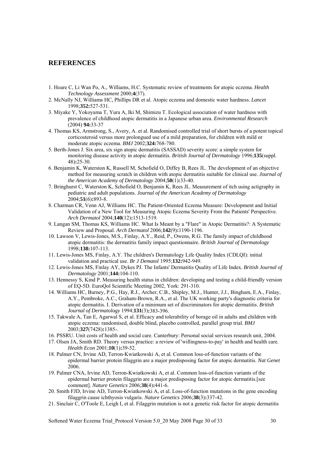#### **REFERENCES**

- 1. Hoare C, Li Wan Po, A., Williams, H.C. Systematic review of treatments for atopic eczema. *Health Technology Assessment* 2000;**4**(37).
- 2. McNally NJ, Williams HC, Phillips DR et al. Atopic eczema and domestic water hardness. *Lancet* 1998;**352:**527-531.
- 3. Miyake Y, Yokoyama T, Yura A, Iki M, Shimizu T. Ecological association of water hardness with prevalence of childhood atopic dermatitis in a Japanese urban area. *Environmental Research* (2004) **94:**33-37
- 4. Thomas KS, Armstrong, S., Avery, A. et al. Randomised controlled trial of short bursts of a potent topical corticosteroid versus more prolongued use of a mild preparation, for children with mild or moderate atopic eczema. *BMJ* 2002;**324:**768-780.
- 5. Berth-Jones J. Six area, six sign atopic dermatitis (SASSAD) severity score: a simple system for monitoring disease activity in atopic dermatitis. *British Journal of Dermatology* 1996;**135**(suppl. 48)**:**25-30.
- 6. Benjamin K, Waterston K, Russell M, Schofield O, Diffey B, Rees JL. The development of an objective method for measuring scratch in children with atopic dermatitis suitable for clinical use. *Journal of the American Academy of Dermatology* 2004;**50**(1)**:**33-40.
- 7. Bringhurst C, Waterston K, Schofield O, Benjamin K, Rees JL. Measurement of itch using actigraphy in pediatric and adult populations. *Journal of the American Academy of Dermatology* 2004;**51**(6)**:**893-8.
- 8. Charman CR, Venn AJ, Williams HC. The Patient-Oriented Eczema Measure: Development and Initial Validation of a New Tool for Measuring Atopic Eczema Severity From the Patients' Perspective. *Arch Dermatol* 2004;**140**(12)**:**1513-1519.
- 9. Langan SM, Thomas KS, Williams HC. What Is Meant by a "Flare" in Atopic Dermatitis?: A Systematic Review and Proposal. *Arch Dermatol* 2006;**142**(9)**:**1190-1196.
- 10. Lawson V, Lewis-Jones, M.S., Finlay, A.Y., Reid, P., Owens, R.G. The family impact of childhood atopic dermatitis: the dermatitis family impact questionnaire. *British Journal of Dermatology* 1998;**138:**107-113.
- 11. Lewis-Jones MS, Finlay, A.Y. The children's Dermatology Life Quality Index (CDLQI): initial validation and practical use. *Br J Dematol* 1995;**132:**942-949.
- 12. Lewis-Jones MS, Finlay AY, Dykes PJ. The Infants' Dermatitis Quality of Life Index. *British Journal of Dermatology* 2001;**144:**104-110.
- 13. Hennessy S, Kind P. Measuring health status in children: developing and testing a child-friendly version of EQ-5D. EuroQol Scientific Meeting 2002, York: 291-310.
- 14. Williams HC, Burney, P.G., Hay, R.J., Archer, C.B., Shipley, M.J., Hunter, J.J., Bingham, E.A., Finlay, A.Y., Pembroke, A.C., Graham-Brown, R.A., et al. The UK working party's diagnostic criteria for atopic dermatitis. I. Derivation of a minimum set of discriminators for atopic dermatitis. *British Journal of Dermatology* 1994;**131**(3)**:**383-396.
- 15. Takwale A, Tan E, Agarwal S, et al. Efficacy and tolerability of borage oil in adults and children with atopic eczema: randomised, double blind, placebo controlled, parallel group trial. *BMJ* 2003;**327**(7428)**:**1385-.
- 16. PSSRU. Unit costs of health and social care. Canterbury: Personal social services research unit, 2004.
- 17. Olsen JA, Smith RD. Theory versus practice: a review of 'willingness-to-pay' in health and health care. *Health Econ* 2001;**10**(1)**:**39-52.
- 18. Palmer CN, Irvine AD, Terron-Kwiatkowski A, et al. Common loss-of-function variants of the epidermal barrier protein filaggrin are a major predisposing factor for atopic dermatitis. *Nat Genet* 2006.
- 19. Palmer CNA, Irvine AD, Terron-Kwiatkowski A, et al. Common loss-of-function variants of the epidermal barrier protein filaggrin are a major predisposing factor for atopic dermatitis.[see comment]. *Nature Genetics* 2006;**38**(4)**:**441-6.
- 20. Smith FJD, Irvine AD, Terron-Kwiatkowski A, et al. Loss-of-function mutations in the gene encoding filaggrin cause ichthyosis vulgaris. *Nature Genetics* 2006;**38**(3)**:**337-42.
- 21. Sinclair C, O'Toole E, Leigh I, et al. Filaggrin mutation is not a genetic risk factor for atopic dermatitis

Softened Water Eczema Trial Protocol Version 5.0 20 May 2008 Page 30 of 33 30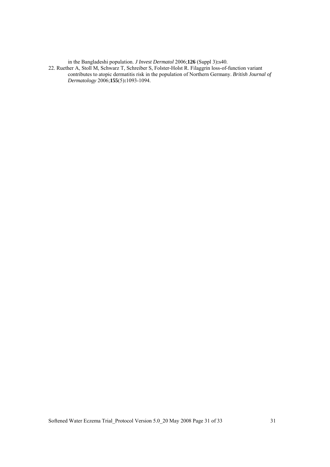in the Bangladeshi population. *J Invest Dermatol* 2006;**126** (Suppl 3)**:**s40.

22. Ruether A, Stoll M, Schwarz T, Schreiber S, Folster-Holst R. Filaggrin loss-of-function variant contributes to atopic dermatitis risk in the population of Northern Germany. *British Journal of Dermatology* 2006;**155**(5)**:**1093-1094.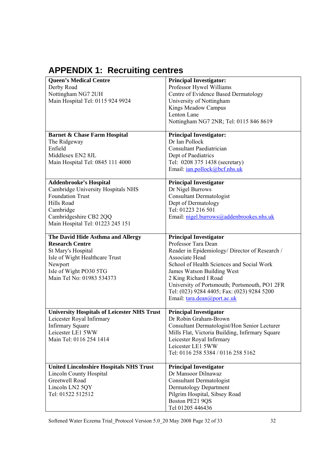# **APPENDIX 1: Recruiting centres**

| <b>Queen's Medical Centre</b><br>Derby Road<br>Nottingham NG7 2UH<br>Main Hospital Tel: 0115 924 9924                                                                                   | <b>Principal Investigator:</b><br>Professor Hywel Williams<br>Centre of Evidence Based Dermatology<br>University of Nottingham<br>Kings Meadow Campus<br>Lenton Lane<br>Nottingham NG7 2NR; Tel: 0115 846 8619                                                                                                                                             |
|-----------------------------------------------------------------------------------------------------------------------------------------------------------------------------------------|------------------------------------------------------------------------------------------------------------------------------------------------------------------------------------------------------------------------------------------------------------------------------------------------------------------------------------------------------------|
| <b>Barnet &amp; Chase Farm Hospital</b><br>The Ridgeway<br>Enfield<br>Middlesex EN2 8JL<br>Main Hospital Tel: 0845 111 4000                                                             | <b>Principal Investigator:</b><br>Dr Ian Pollock<br><b>Consultant Paediatrician</b><br>Dept of Paediatrics<br>Tel: 0208 375 1438 (secretary)<br>Email: <i>ian.pollock@bcf.nhs.uk</i>                                                                                                                                                                       |
| <b>Addenbrooke's Hospital</b><br>Cambridge University Hospitals NHS<br><b>Foundation Trust</b><br>Hills Road<br>Cambridge<br>Cambridgeshire CB2 2QQ<br>Main Hospital Tel: 01223 245 151 | <b>Principal Investigator</b><br>Dr Nigel Burrows<br>Consultant Dermatologist<br>Dept of Dermatology<br>Tel: 01223 216 501<br>Email: nigel.burrows@addenbrookes.nhs.uk                                                                                                                                                                                     |
| The David Hide Asthma and Allergy<br><b>Research Centre</b><br>St Mary's Hospital<br>Isle of Wight Healthcare Trust<br>Newport<br>Isle of Wight PO30 5TG<br>Main Tel No: 01983 534373   | <b>Principal Investigator</b><br>Professor Tara Dean<br>Reader in Epidemiology/ Director of Research /<br>Associate Head<br>School of Health Sciences and Social Work<br>James Watson Building West<br>2 King Richard I Road<br>University of Portsmouth; Portsmouth, PO1 2FR<br>Tel: (023) 9284 4405; Fax: (023) 9284 5200<br>Email: tara.dean@port.ac.uk |
| <b>University Hospitals of Leicester NHS Trust</b><br>Leicester Royal Infirmary<br><b>Infirmary Square</b><br>Leicester LE1 5WW<br>Main Tel: 0116 254 1414                              | <b>Principal Investigator</b><br>Dr Robin Graham-Brown<br>Consultant Dermatologist/Hon Senior Lecturer<br>Mills Flat, Victoria Building, Infirmary Square<br>Leicester Royal Infirmary<br>Leicester LE1 5WW<br>Tel: 0116 258 5384 / 0116 258 5162                                                                                                          |
| <b>United Lincolnshire Hospitals NHS Trust</b><br><b>Lincoln County Hospital</b><br>Greetwell Road<br>Lincoln LN2 5QY<br>Tel: 01522 512512                                              | <b>Principal Investigator</b><br>Dr Mansoor Dilnawaz<br><b>Consultant Dermatologist</b><br>Dermatology Department<br>Pilgrim Hospital, Sibsey Road<br>Boston PE21 9QS<br>Tel 01205 446436                                                                                                                                                                  |

Softened Water Eczema Trial\_Protocol Version 5.0\_20 May 2008 Page 32 of 33 32